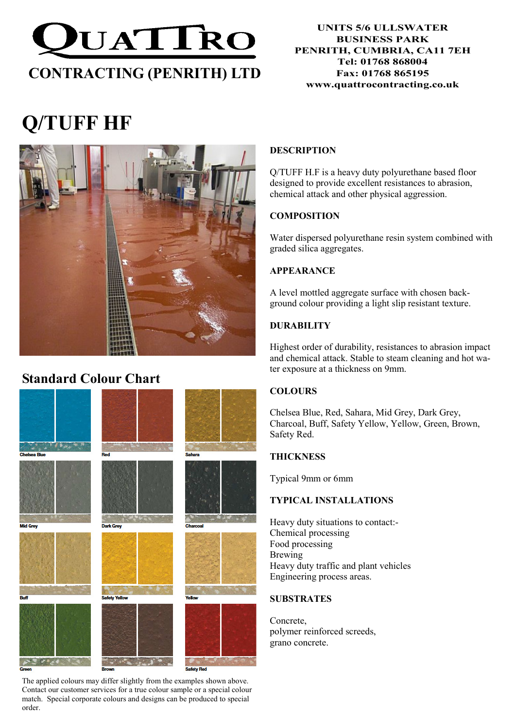

#### UNITS 5/6 ULLSWATER BUSINESS PARK PENRITH, CUMBRIA, CA11 7EH Tel: 01768 868004 Fax: 01768 865195 www.quattrocontracting.co.uk

# Q/TUFF HF



# Standard Colour Chart



The applied colours may differ slightly from the examples shown above. Contact our customer services for a true colour sample or a special colour match. Special corporate colours and designs can be produced to special order.

# DESCRIPTION

Q/TUFF H.F is a heavy duty polyurethane based floor designed to provide excellent resistances to abrasion, chemical attack and other physical aggression.

# **COMPOSITION**

Water dispersed polyurethane resin system combined with graded silica aggregates.

# APPEARANCE

A level mottled aggregate surface with chosen background colour providing a light slip resistant texture.

# DURABILITY

Highest order of durability, resistances to abrasion impact and chemical attack. Stable to steam cleaning and hot water exposure at a thickness on 9mm.

# **COLOURS**

Chelsea Blue, Red, Sahara, Mid Grey, Dark Grey, Charcoal, Buff, Safety Yellow, Yellow, Green, Brown, Safety Red.

# **THICKNESS**

Typical 9mm or 6mm

# TYPICAL INSTALLATIONS

Heavy duty situations to contact:- Chemical processing Food processing Brewing Heavy duty traffic and plant vehicles Engineering process areas.

# **SUBSTRATES**

Concrete, polymer reinforced screeds, grano concrete.